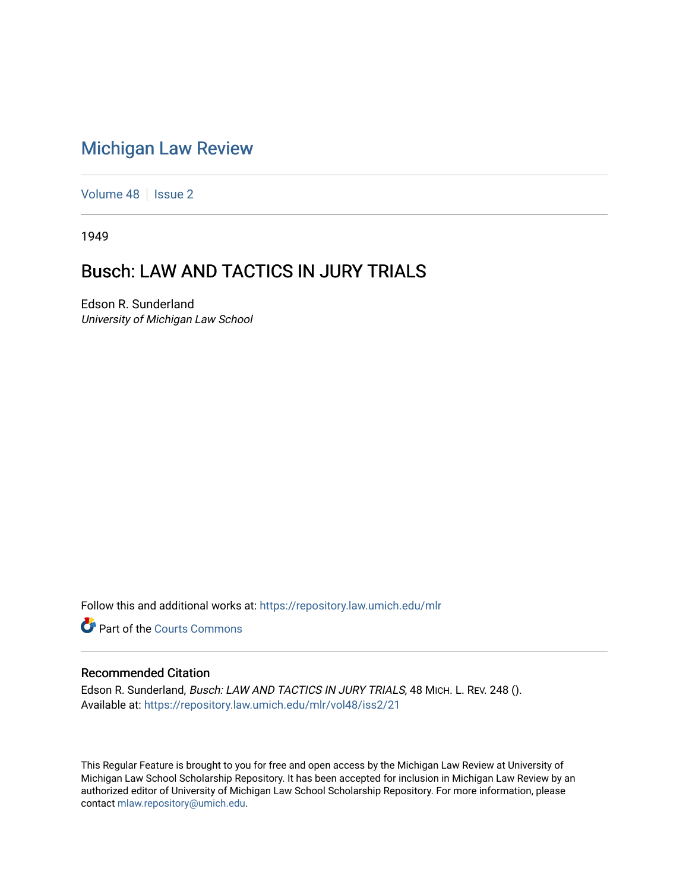## [Michigan Law Review](https://repository.law.umich.edu/mlr)

[Volume 48](https://repository.law.umich.edu/mlr/vol48) | [Issue 2](https://repository.law.umich.edu/mlr/vol48/iss2)

1949

# Busch: LAW AND TACTICS IN JURY TRIALS

Edson R. Sunderland University of Michigan Law School

Follow this and additional works at: [https://repository.law.umich.edu/mlr](https://repository.law.umich.edu/mlr?utm_source=repository.law.umich.edu%2Fmlr%2Fvol48%2Fiss2%2F21&utm_medium=PDF&utm_campaign=PDFCoverPages) 

**Part of the Courts Commons** 

#### Recommended Citation

Edson R. Sunderland, Busch: LAW AND TACTICS IN JURY TRIALS, 48 MICH. L. REV. 248 (). Available at: [https://repository.law.umich.edu/mlr/vol48/iss2/21](https://repository.law.umich.edu/mlr/vol48/iss2/21?utm_source=repository.law.umich.edu%2Fmlr%2Fvol48%2Fiss2%2F21&utm_medium=PDF&utm_campaign=PDFCoverPages) 

This Regular Feature is brought to you for free and open access by the Michigan Law Review at University of Michigan Law School Scholarship Repository. It has been accepted for inclusion in Michigan Law Review by an authorized editor of University of Michigan Law School Scholarship Repository. For more information, please contact [mlaw.repository@umich.edu](mailto:mlaw.repository@umich.edu).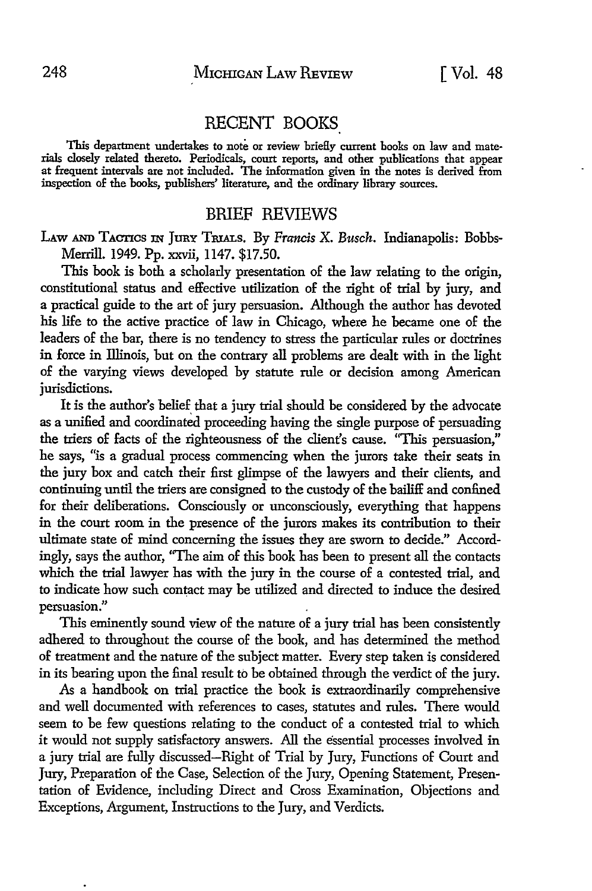### RECENT BOOKS

This department undertakes to note or review briefly current books on law and materials closely related thereto. Periodicals, court reports, and other publications that appear at frequent intervals are not included. The information given in the notes is derived from inspection of the books, publishers' literature, and the ordinary library sources.

#### BRIEF REVIEWS

LAw AND TACTICS IN JURY TBIALs. By *Francis* X. *Busch.* Indianapolis: Bobbs-Merrill. 1949. Pp. xxvii, 1147. \$17.50.

This book is both a scholarly presentation of the law relating to the origin, constitutional status and effective utilization of the right of trial by jury, and a practical guide to the art of jury persuasion. Although the author has devoted his life to the active practice of law in Chicago, where he became one of the leaders of the bar, there is no tendency to stress the particular rules or doctrines in force in Illinois, but on the contrary all problems are dealt with in the light of the varying views developed by statute rule or decision among American jurisdictions.

It is the author's belief that a jury trial should be considered by the advocate as a unified and coordinated proceeding having the single purpose of persuading the triers of facts of the righteousness of the client's cause. "This persuasion," he says, "is a gradual process commencing when the jurors take their seats in the jury box and catch their first glimpse of the lawyers and their clients, and continuing until the triers are consigned to the custody of the bailiff and confined for their deliberations. Consciously or unconsciously, everything that happens in the court room in the presence of the jurors makes its contribution to their ultimate state of mind concerning the issues they are sworn to decide." Accordingly, says the author, ''The aim of this book has been to present all the contacts which the trial lawyer has with the jury in the course of a contested trial, and to indicate how such contact may be utilized and directed to induce the desired persuasion."

This eminently sound view of the nature of a jury trial has been consistently adhered to throughout the course of the book, and has determined the method of treatment and the nature of the subject matter. Every step taken is considered in its bearing upon the final result to be obtained through the verdict of the jury.

As a handbook on trial practice the book is extraordinarily comprehensive and well documented with references to cases, statutes and rules. There would seem to be few questions relating to the conduct of a contested trial to which it would not supply satisfactory answers. All the essential processes involved in a jury trial are fully discussed-Right of Trial by Jury, Functions of Court and Jury, Preparation of the Case, Selection of the Jury, Opening Statement, Presentation of Evidence, including Direct and Cross Examination, Objections and Exceptions, Argument, Instructions to the Jury, and Verdicts.